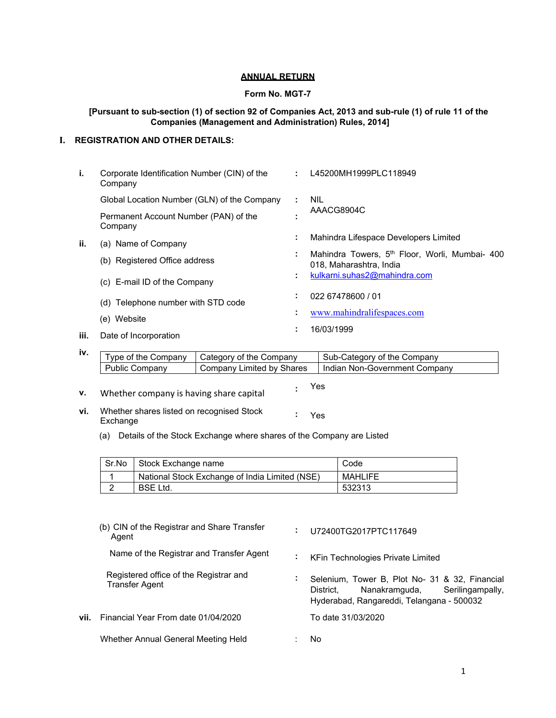#### **ANNUAL RETURN**

#### **Form No. MGT-7**

### **[Pursuant to sub-section (1) of section 92 of Companies Act, 2013 and sub-rule (1) of rule 11 of the Companies (Management and Administration) Rules, 2014]**

## **I. REGISTRATION AND OTHER DETAILS:**

| i.   | Corporate Identification Number (CIN) of the<br>Company |    | L45200MH1999PLC118949                                                                 |
|------|---------------------------------------------------------|----|---------------------------------------------------------------------------------------|
|      | Global Location Number (GLN) of the Company             |    | <b>NIL</b>                                                                            |
|      | Permanent Account Number (PAN) of the<br>Company        |    | AAACG8904C                                                                            |
| ii.  | (a) Name of Company                                     | ٠. | Mahindra Lifespace Developers Limited                                                 |
|      | (b) Registered Office address                           |    | Mahindra Towers, 5 <sup>th</sup> Floor, Worli, Mumbai- 400<br>018, Maharashtra, India |
|      | (c) E-mail ID of the Company                            |    | kulkarni.suhas2@mahindra.com                                                          |
|      | (d) Telephone number with STD code                      |    | 022 67478600 / 01                                                                     |
|      | (e) Website                                             |    | www.mahindralifespaces.com                                                            |
| iii. | Date of Incorporation                                   |    | 16/03/1999                                                                            |

| Type of the Company | L Category of the Company | Sub-Category of the Company   |
|---------------------|---------------------------|-------------------------------|
| Public Company      | Company Limited by Shares | Indian Non-Government Company |
|                     |                           |                               |

| ν. | Whether company is having share capital | Yes |
|----|-----------------------------------------|-----|
|    |                                         |     |

- **vi.** Whether shares listed on recognised Stock Exchange **:** Yes
	- (a) Details of the Stock Exchange where shares of the Company are Listed

| Sr.No | Stock Exchange name                            | Code    |
|-------|------------------------------------------------|---------|
|       | National Stock Exchange of India Limited (NSE) | MAHLIFE |
|       | BSE Ltd.                                       | 532313  |

|        | (b) CIN of the Registrar and Share Transfer<br>Agent     | ÷  | U72400TG2017PTC117649                                                                                                                      |
|--------|----------------------------------------------------------|----|--------------------------------------------------------------------------------------------------------------------------------------------|
|        | Name of the Registrar and Transfer Agent                 | п. | <b>KFin Technologies Private Limited</b>                                                                                                   |
|        | Registered office of the Registrar and<br>Transfer Agent | ÷. | Selenium, Tower B, Plot No- 31 & 32, Financial<br>Nanakramguda, Serilingampally,<br>District.<br>Hyderabad, Rangareddi, Telangana - 500032 |
| vii. I | Financial Year From date 01/04/2020                      |    | To date 31/03/2020                                                                                                                         |
|        | Whether Annual General Meeting Held                      |    | No.                                                                                                                                        |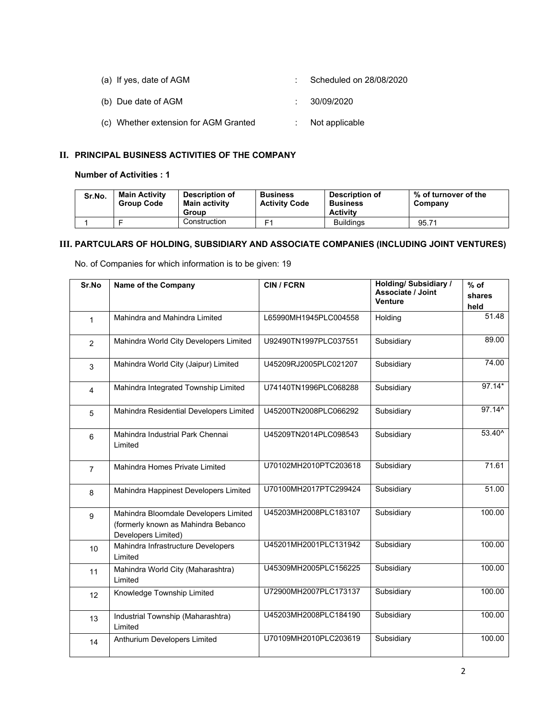| (a) If yes, date of AGM               | Scheduled on 28/08/2020     |
|---------------------------------------|-----------------------------|
| (b) Due date of AGM                   | 30/09/2020                  |
| (c) Whether extension for AGM Granted | $\therefore$ Not applicable |

## **II. PRINCIPAL BUSINESS ACTIVITIES OF THE COMPANY**

## **Number of Activities : 1**

| Sr.No. | <b>Main Activity</b><br><b>Group Code</b> | <b>Description of</b><br>Main activity<br>Group | <b>Business</b><br><b>Activity Code</b> | <b>Description of</b><br><b>Business</b><br><b>Activity</b> | % of turnover of the<br>Company |
|--------|-------------------------------------------|-------------------------------------------------|-----------------------------------------|-------------------------------------------------------------|---------------------------------|
|        |                                           | Construction                                    | ᄃ                                       | <b>Buildings</b>                                            | 95.71                           |

# **III. PARTCULARS OF HOLDING, SUBSIDIARY AND ASSOCIATE COMPANIES (INCLUDING JOINT VENTURES)**

No. of Companies for which information is to be given: 19

| Sr.No          | Name of the Company                                                                                 | <b>CIN / FCRN</b>     | <b>Holding/ Subsidiary /</b><br>Associate / Joint<br><b>Venture</b> | $%$ of<br>shares<br>held |
|----------------|-----------------------------------------------------------------------------------------------------|-----------------------|---------------------------------------------------------------------|--------------------------|
| $\mathbf{1}$   | Mahindra and Mahindra Limited                                                                       | L65990MH1945PLC004558 | Holding                                                             | 51.48                    |
| $\overline{2}$ | Mahindra World City Developers Limited                                                              | U92490TN1997PLC037551 | Subsidiary                                                          | 89.00                    |
| 3              | Mahindra World City (Jaipur) Limited                                                                | U45209RJ2005PLC021207 | Subsidiary                                                          | 74.00                    |
| 4              | Mahindra Integrated Township Limited                                                                | U74140TN1996PLC068288 | Subsidiary                                                          | $97.14*$                 |
| 5              | Mahindra Residential Developers Limited                                                             | U45200TN2008PLC066292 | Subsidiary                                                          | $97.14^{\circ}$          |
| 6              | Mahindra Industrial Park Chennai<br>Limited                                                         | U45209TN2014PLC098543 | Subsidiary                                                          | 53.40^                   |
| $\overline{7}$ | Mahindra Homes Private Limited                                                                      | U70102MH2010PTC203618 | Subsidiary                                                          | 71.61                    |
| 8              | Mahindra Happinest Developers Limited                                                               | U70100MH2017PTC299424 | Subsidiary                                                          | 51.00                    |
| 9              | Mahindra Bloomdale Developers Limited<br>(formerly known as Mahindra Bebanco<br>Developers Limited) | U45203MH2008PLC183107 | Subsidiary                                                          | 100.00                   |
| 10             | Mahindra Infrastructure Developers<br>Limited                                                       | U45201MH2001PLC131942 | Subsidiary                                                          | 100.00                   |
| 11             | Mahindra World City (Maharashtra)<br>Limited                                                        | U45309MH2005PLC156225 | Subsidiary                                                          | 100.00                   |
| 12             | Knowledge Township Limited                                                                          | U72900MH2007PLC173137 | Subsidiary                                                          | 100.00                   |
| 13             | Industrial Township (Maharashtra)<br>Limited                                                        | U45203MH2008PLC184190 | Subsidiary                                                          | 100.00                   |
| 14             | Anthurium Developers Limited                                                                        | U70109MH2010PLC203619 | Subsidiary                                                          | 100.00                   |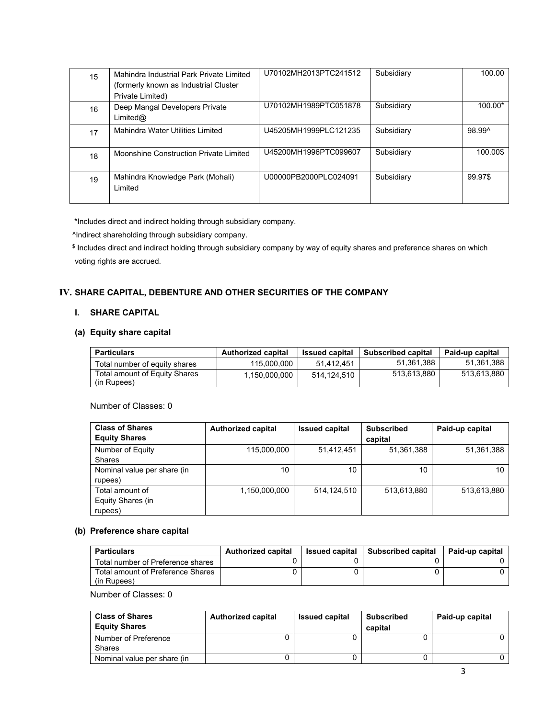| 15 | Mahindra Industrial Park Private Limited<br>(formerly known as Industrial Cluster<br>Private Limited) | U70102MH2013PTC241512 | Subsidiary | 100.00    |
|----|-------------------------------------------------------------------------------------------------------|-----------------------|------------|-----------|
| 16 | Deep Mangal Developers Private<br>Limited@                                                            | U70102MH1989PTC051878 | Subsidiary | $100.00*$ |
| 17 | Mahindra Water Utilities Limited                                                                      | U45205MH1999PLC121235 | Subsidiary | 98.99^    |
| 18 | Moonshine Construction Private Limited                                                                | U45200MH1996PTC099607 | Subsidiary | 100.00\$  |
| 19 | Mahindra Knowledge Park (Mohali)<br>Limited                                                           | U00000PB2000PLC024091 | Subsidiary | 99.97\$   |

\*Includes direct and indirect holding through subsidiary company.

^Indirect shareholding through subsidiary company.

 \$ Includes direct and indirect holding through subsidiary company by way of equity shares and preference shares on which voting rights are accrued.

## **IV. SHARE CAPITAL, DEBENTURE AND OTHER SECURITIES OF THE COMPANY**

### **I. SHARE CAPITAL**

#### **(a) Equity share capital**

| <b>Particulars</b>                           | <b>Authorized capital</b> | <b>Issued capital</b> | <b>Subscribed capital</b> | Paid-up capital |
|----------------------------------------------|---------------------------|-----------------------|---------------------------|-----------------|
| Total number of equity shares                | 115,000,000               | 51.412.451            | 51.361.388                | 51.361.388      |
| Total amount of Equity Shares<br>(in Rupees) | 1.150.000.000             | 514.124.510           | 513.613.880               | 513.613.880     |

Number of Classes: 0

| <b>Class of Shares</b>      | <b>Authorized capital</b> | <b>Issued capital</b> | <b>Subscribed</b> | Paid-up capital |
|-----------------------------|---------------------------|-----------------------|-------------------|-----------------|
| <b>Equity Shares</b>        |                           |                       | capital           |                 |
| Number of Equity            | 115,000,000               | 51,412,451            | 51,361,388        | 51,361,388      |
| <b>Shares</b>               |                           |                       |                   |                 |
| Nominal value per share (in | 10                        | 10                    | 10                | 10              |
| rupees)                     |                           |                       |                   |                 |
| Total amount of             | 1,150,000,000             | 514,124,510           | 513,613,880       | 513,613,880     |
| Equity Shares (in           |                           |                       |                   |                 |
| rupees)                     |                           |                       |                   |                 |

## **(b) Preference share capital**

| <b>Particulars</b>                               | <b>Authorized capital</b> | <b>Issued capital</b> | <b>Subscribed capital</b> | <b>Paid-up capital</b> |
|--------------------------------------------------|---------------------------|-----------------------|---------------------------|------------------------|
| Total number of Preference shares                |                           |                       |                           |                        |
| Total amount of Preference Shares<br>(in Rupees) |                           |                       |                           |                        |

Number of Classes: 0

| <b>Class of Shares</b><br><b>Equity Shares</b> | <b>Authorized capital</b> | <b>Issued capital</b> | <b>Subscribed</b><br>capital | Paid-up capital |
|------------------------------------------------|---------------------------|-----------------------|------------------------------|-----------------|
| Number of Preference                           |                           |                       |                              |                 |
| <b>Shares</b>                                  |                           |                       |                              |                 |
| Nominal value per share (in                    |                           |                       |                              |                 |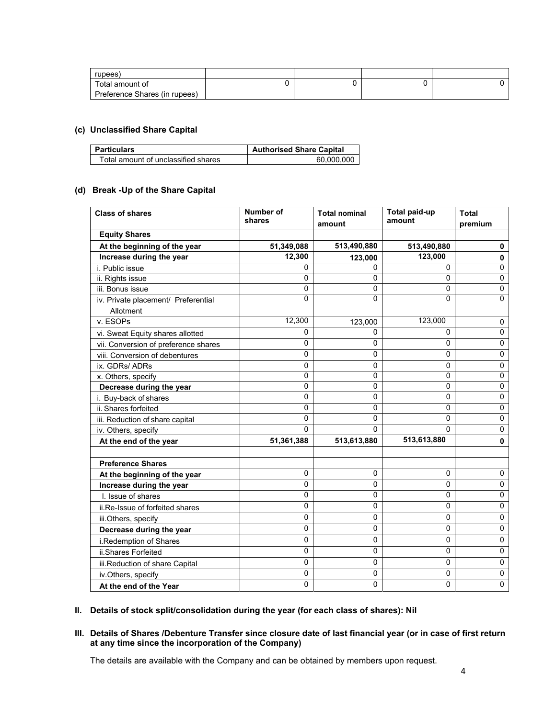| rupees)                       |  |  |
|-------------------------------|--|--|
| Total amount of               |  |  |
| Preference Shares (in rupees) |  |  |

## **(c) Unclassified Share Capital**

| <b>Particulars</b>                  | <b>Authorised Share Capital</b> |
|-------------------------------------|---------------------------------|
| Total amount of unclassified shares | 60.000.000                      |

## **(d) Break -Up of the Share Capital**

| <b>Class of shares</b>               | Number of<br>shares | <b>Total nominal</b><br>amount | <b>Total paid-up</b><br>amount | <b>Total</b><br>premium |
|--------------------------------------|---------------------|--------------------------------|--------------------------------|-------------------------|
| <b>Equity Shares</b>                 |                     |                                |                                |                         |
| At the beginning of the year         | 51,349,088          | 513,490,880                    | 513,490,880                    | 0                       |
| Increase during the year             | 12,300              | 123,000                        | 123,000                        | 0                       |
| i. Public issue                      | 0                   | 0                              | 0                              | 0                       |
| ii. Rights issue                     | 0                   | 0                              | 0                              | $\mathbf 0$             |
| iii. Bonus issue                     | $\mathbf 0$         | 0                              | 0                              | 0                       |
| iv. Private placement/ Preferential  | 0                   | 0                              | 0                              | 0                       |
| Allotment                            |                     |                                |                                |                         |
| v. ESOPs                             | 12,300              | 123,000                        | 123,000                        | 0                       |
| vi. Sweat Equity shares allotted     | 0                   | 0                              | $\mathbf{0}$                   | $\mathbf 0$             |
| vii. Conversion of preference shares | $\mathbf 0$         | 0                              | $\Omega$                       | $\mathbf 0$             |
| viii. Conversion of debentures       | $\mathbf{0}$        | 0                              | $\mathbf{0}$                   | 0                       |
| ix. GDRs/ ADRs                       | 0                   | 0                              | 0                              | $\mathbf 0$             |
| x. Others, specify                   | 0                   | 0                              | 0                              | $\mathbf 0$             |
| Decrease during the year             | $\mathbf 0$         | 0                              | 0                              | 0                       |
| i. Buy-back of shares                | $\mathbf 0$         | 0                              | 0                              | 0                       |
| ii. Shares forfeited                 | 0                   | 0                              | 0                              | 0                       |
| iii. Reduction of share capital      | $\mathbf{0}$        | 0                              | $\mathbf{0}$                   | $\mathbf 0$             |
| iv. Others, specify                  | 0                   | U                              | $\Omega$                       | $\mathbf 0$             |
| At the end of the year               | 51,361,388          | 513,613,880                    | 513,613,880                    | $\mathbf 0$             |
| <b>Preference Shares</b>             |                     |                                |                                |                         |
| At the beginning of the year         | $\mathbf 0$         | 0                              | 0                              | 0                       |
| Increase during the year             | $\pmb{0}$           | 0                              | 0                              | 0                       |
| I. Issue of shares                   | $\mathbf 0$         | 0                              | 0                              | $\mathbf 0$             |
| ii.Re-Issue of forfeited shares      | 0                   | 0                              | 0                              | 0                       |
| iii.Others, specify                  | $\mathbf 0$         | 0                              | $\mathbf 0$                    | $\pmb{0}$               |
| Decrease during the year             | $\mathbf 0$         | 0                              | 0                              | $\mathbf 0$             |
| i.Redemption of Shares               | $\mathbf 0$         | 0                              | 0                              | 0                       |
| ii.Shares Forfeited                  | $\mathbf 0$         | 0                              | $\overline{0}$                 | $\mathbf 0$             |
| iii.Reduction of share Capital       | 0                   | 0                              | 0                              | 0                       |
| iv.Others, specify                   | $\mathbf 0$         | 0                              | 0                              | 0                       |
| At the end of the Year               | $\mathbf 0$         | 0                              | 0                              | $\pmb{0}$               |

## **II. Details of stock split/consolidation during the year (for each class of shares): Nil**

#### **III. Details of Shares /Debenture Transfer since closure date of last financial year (or in case of first return at any time since the incorporation of the Company)**

The details are available with the Company and can be obtained by members upon request.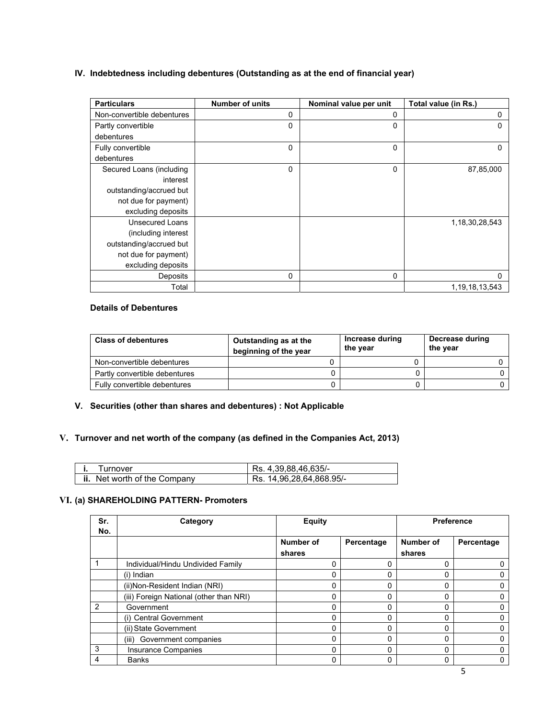## **IV. Indebtedness including debentures (Outstanding as at the end of financial year)**

| <b>Particulars</b>         | <b>Number of units</b> | Nominal value per unit | Total value (in Rs.) |
|----------------------------|------------------------|------------------------|----------------------|
| Non-convertible debentures | 0                      | 0                      | 0                    |
| Partly convertible         | 0                      | 0                      | $\mathbf{0}$         |
| debentures                 |                        |                        |                      |
| Fully convertible          | 0                      | 0                      | 0                    |
| debentures                 |                        |                        |                      |
| Secured Loans (including   | 0                      | 0                      | 87,85,000            |
| interest                   |                        |                        |                      |
| outstanding/accrued but    |                        |                        |                      |
| not due for payment)       |                        |                        |                      |
| excluding deposits         |                        |                        |                      |
| <b>Unsecured Loans</b>     |                        |                        | 1,18,30,28,543       |
| (including interest)       |                        |                        |                      |
| outstanding/accrued but    |                        |                        |                      |
| not due for payment)       |                        |                        |                      |
| excluding deposits         |                        |                        |                      |
| Deposits                   | $\mathbf{0}$           | 0                      | 0                    |
| Total                      |                        |                        | 1, 19, 18, 13, 543   |

## **Details of Debentures**

| <b>Class of debentures</b>    | Outstanding as at the<br>beginning of the year | Increase during<br>the year | Decrease during<br>the year |
|-------------------------------|------------------------------------------------|-----------------------------|-----------------------------|
| Non-convertible debentures    |                                                |                             |                             |
| Partly convertible debentures |                                                |                             |                             |
| Fully convertible debentures  |                                                |                             |                             |

## **V. Securities (other than shares and debentures) : Not Applicable**

## **V. Turnover and net worth of the company (as defined in the Companies Act, 2013)**

| Turnover                            | Rs. 4.39.88.46.635/-     |
|-------------------------------------|--------------------------|
| <b>ii.</b> Net worth of the Company | Rs. 14,96,28,64,868.95/- |

## **VI. (a) SHAREHOLDING PATTERN- Promoters**

| Sr.<br>No.    | Category                                | <b>Equity</b> |            |           | <b>Preference</b> |
|---------------|-----------------------------------------|---------------|------------|-----------|-------------------|
|               |                                         | Number of     | Percentage | Number of | Percentage        |
|               |                                         | shares        |            | shares    |                   |
|               | Individual/Hindu Undivided Family       |               |            | 0         |                   |
|               | (i) Indian                              | <sup>0</sup>  | 0          | 0         |                   |
|               | (ii)Non-Resident Indian (NRI)           |               | 0          | 0         |                   |
|               | (iii) Foreign National (other than NRI) |               | 0          | 0         |                   |
| $\mathcal{P}$ | Government                              | <sup>0</sup>  | 0          | 0         | 0                 |
|               | (i) Central Government                  | 0             | 0          | 0         |                   |
|               | (ii) State Government                   | 0             | $\Omega$   | 0         |                   |
|               | (iii) Government companies              | 0             | 0          | 0         | 0                 |
| 3             | <b>Insurance Companies</b>              | 0             | 0          | 0         | 0                 |
| 4             | <b>Banks</b>                            | 0             | 0          | 0         |                   |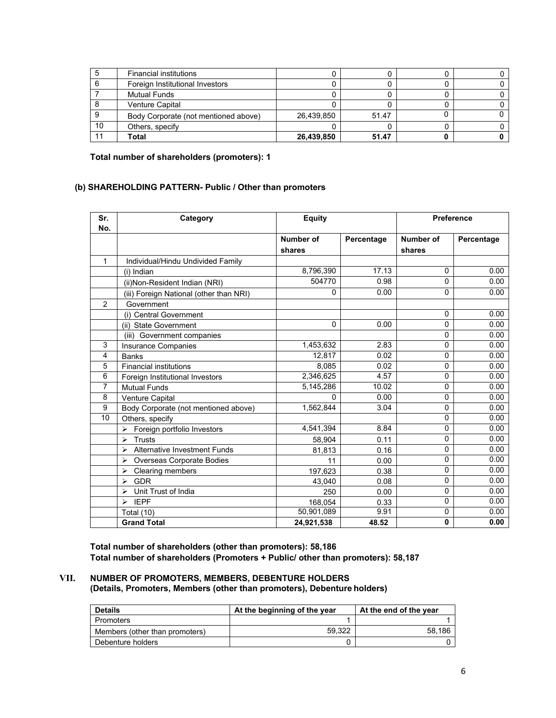|    | <b>Financial institutions</b>        |            |       |  |
|----|--------------------------------------|------------|-------|--|
|    | Foreign Institutional Investors      |            |       |  |
|    | <b>Mutual Funds</b>                  |            |       |  |
|    | <b>Venture Capital</b>               |            |       |  |
|    | Body Corporate (not mentioned above) | 26,439,850 | 51.47 |  |
| 10 | Others, specify                      |            |       |  |
|    | Total                                | 26,439,850 | 51.47 |  |

**Total number of shareholders (promoters): 1** 

## **(b) SHAREHOLDING PATTERN- Public / Other than promoters**

| Sr.<br>No.     | Category                                 | <b>Equity</b> |            |           | <b>Preference</b> |
|----------------|------------------------------------------|---------------|------------|-----------|-------------------|
|                |                                          | Number of     | Percentage | Number of | Percentage        |
|                |                                          | shares        |            | shares    |                   |
| 1              | Individual/Hindu Undivided Family        |               |            |           |                   |
|                | (i) Indian                               | 8,796,390     | 17.13      | 0         | 0.00              |
|                | (ii)Non-Resident Indian (NRI)            | 504770        | 0.98       | 0         | 0.00              |
|                | (iii) Foreign National (other than NRI)  | 0             | 0.00       | 0         | 0.00              |
| $\overline{2}$ | Government                               |               |            |           |                   |
|                | (i) Central Government                   |               |            | 0         | 0.00              |
|                | (ii) State Government                    | 0             | 0.00       | 0         | 0.00              |
|                | (iii) Government companies               |               |            | 0         | 0.00              |
| 3              | <b>Insurance Companies</b>               | 1,453,632     | 2.83       | 0         | 0.00              |
| 4              | <b>Banks</b>                             | 12,817        | 0.02       | 0         | 0.00              |
| 5              | <b>Financial institutions</b>            | 8,085         | 0.02       | 0         | 0.00              |
| 6              | Foreign Institutional Investors          | 2,346,625     | 4.57       | 0         | 0.00              |
| 7              | <b>Mutual Funds</b>                      | 5,145,286     | 10.02      | 0         | 0.00              |
| 8              | Venture Capital                          | $\Omega$      | 0.00       | 0         | 0.00              |
| 9              | Body Corporate (not mentioned above)     | 1,562,844     | 3.04       | 0         | 0.00              |
| 10             | Others, specify                          |               |            | 0         | 0.00              |
|                | Foreign portfolio Investors<br>⋗         | 4,541,394     | 8.84       | 0         | 0.00              |
|                | <b>Trusts</b><br>$\blacktriangleright$   | 58,904        | 0.11       | 0         | 0.00              |
|                | <b>Alternative Investment Funds</b><br>⋗ | 81,813        | 0.16       | 0         | 0.00              |
|                | Overseas Corporate Bodies<br>⋗           | 11            | 0.00       | 0         | 0.00              |
|                | Clearing members<br>⋗                    | 197,623       | 0.38       | 0         | 0.00              |
|                | GDR<br>⋗                                 | 43,040        | 0.08       | 0         | 0.00              |
|                | Unit Trust of India<br>⋗                 | 250           | 0.00       | 0         | 0.00              |
|                | <b>IEPF</b><br>↘                         | 168,054       | 0.33       | 0         | 0.00              |
|                | <b>Total (10)</b>                        | 50,901,089    | 9.91       | 0         | 0.00              |
|                | <b>Grand Total</b>                       | 24,921,538    | 48.52      | 0         | 0.00              |

**Total number of shareholders (other than promoters): 58,186 Total number of shareholders (Promoters + Public/ other than promoters): 58,187** 

#### **VII. NUMBER OF PROMOTERS, MEMBERS, DEBENTURE HOLDERS (Details, Promoters, Members (other than promoters), Debenture holders)**

| <b>Details</b>                 | At the beginning of the year | At the end of the year |  |
|--------------------------------|------------------------------|------------------------|--|
| Promoters                      |                              |                        |  |
| Members (other than promoters) | 59.322                       | 58.186                 |  |
| Debenture holders              |                              |                        |  |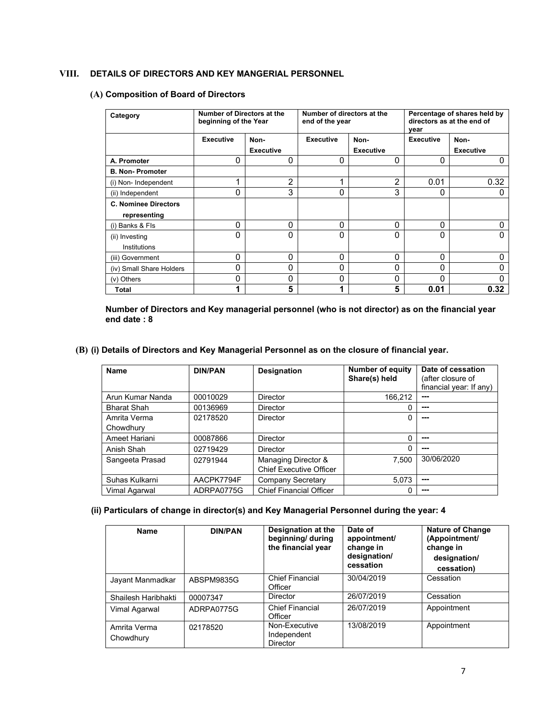## **VIII. DETAILS OF DIRECTORS AND KEY MANGERIAL PERSONNEL**

#### **(A) Composition of Board of Directors**

| Category                    | Number of Directors at the<br>beginning of the Year |                  | Number of directors at the<br>end of the year |                  | Percentage of shares held by<br>directors as at the end of<br>year |                  |
|-----------------------------|-----------------------------------------------------|------------------|-----------------------------------------------|------------------|--------------------------------------------------------------------|------------------|
|                             | <b>Executive</b>                                    | Non-             | <b>Executive</b>                              | Non-             | <b>Executive</b>                                                   | Non-             |
|                             |                                                     | <b>Executive</b> |                                               | <b>Executive</b> |                                                                    | <b>Executive</b> |
| A. Promoter                 | 0                                                   | 0                | 0                                             | 0                | 0                                                                  | 0                |
| <b>B. Non-Promoter</b>      |                                                     |                  |                                               |                  |                                                                    |                  |
| (i) Non-Independent         | 4                                                   | 2                |                                               | $\overline{2}$   | 0.01                                                               | 0.32             |
| (ii) Independent            | 0                                                   | 3                | $\Omega$                                      | 3                | 0                                                                  | 0                |
| <b>C. Nominee Directors</b> |                                                     |                  |                                               |                  |                                                                    |                  |
| representing                |                                                     |                  |                                               |                  |                                                                    |                  |
| (i) Banks & Fls             | 0                                                   | 0                | 0                                             | 0                | 0                                                                  | 0                |
| (ii) Investing              | 0                                                   | 0                | 0                                             | 0                | 0                                                                  | 0                |
| Institutions                |                                                     |                  |                                               |                  |                                                                    |                  |
| (iii) Government            | 0                                                   | $\Omega$         | $\Omega$                                      | 0                | 0                                                                  | 0                |
| (iv) Small Share Holders    | 0                                                   | $\Omega$         | $\Omega$                                      | 0                | 0                                                                  | 0                |
| (v) Others                  | 0                                                   | $\Omega$         | 0                                             | 0                | 0                                                                  | 0                |
| Total                       | 4                                                   | 5                |                                               | 5                | 0.01                                                               | 0.32             |

#### **Number of Directors and Key managerial personnel (who is not director) as on the financial year end date : 8**

#### **(B) (i) Details of Directors and Key Managerial Personnel as on the closure of financial year.**

| Name                      | <b>DIN/PAN</b> | <b>Designation</b>                                    | Number of equity<br>Share(s) held | Date of cessation<br>(after closure of<br>financial year: If any) |
|---------------------------|----------------|-------------------------------------------------------|-----------------------------------|-------------------------------------------------------------------|
| Arun Kumar Nanda          | 00010029       | <b>Director</b>                                       | 166.212                           | ---                                                               |
| <b>Bharat Shah</b>        | 00136969       | <b>Director</b>                                       | 0                                 | ---                                                               |
| Amrita Verma<br>Chowdhury | 02178520       | <b>Director</b>                                       | 0                                 | ---                                                               |
| Ameet Hariani             | 00087866       | <b>Director</b>                                       | 0                                 | ---                                                               |
| Anish Shah                | 02719429       | <b>Director</b>                                       | 0                                 | ---                                                               |
| Sangeeta Prasad           | 02791944       | Managing Director &<br><b>Chief Executive Officer</b> | 7.500                             | 30/06/2020                                                        |
| Suhas Kulkarni            | AACPK7794F     | <b>Company Secretary</b>                              | 5.073                             | ---                                                               |
| Vimal Agarwal             | ADRPA0775G     | <b>Chief Financial Officer</b>                        | 0                                 | ---                                                               |

## **(ii) Particulars of change in director(s) and Key Managerial Personnel during the year: 4**

| <b>Name</b>               | <b>DIN/PAN</b> | Designation at the<br>beginning/ during<br>the financial year | Date of<br>appointment<br>change in<br>designation/<br>cessation | <b>Nature of Change</b><br>(Appointment/<br>change in<br>designation/<br>cessation) |
|---------------------------|----------------|---------------------------------------------------------------|------------------------------------------------------------------|-------------------------------------------------------------------------------------|
| Jayant Manmadkar          | ABSPM9835G     | <b>Chief Financial</b><br>Officer                             | 30/04/2019                                                       | Cessation                                                                           |
| Shailesh Haribhakti       | 00007347       | Director                                                      | 26/07/2019                                                       | Cessation                                                                           |
| Vimal Agarwal             | ADRPA0775G     | <b>Chief Financial</b><br>Officer                             | 26/07/2019                                                       | Appointment                                                                         |
| Amrita Verma<br>Chowdhury | 02178520       | Non-Executive<br>Independent<br><b>Director</b>               | 13/08/2019                                                       | Appointment                                                                         |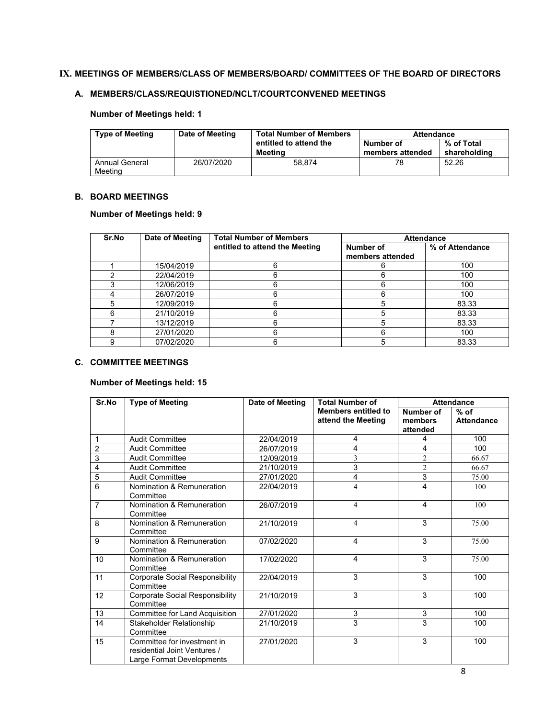#### **IX. MEETINGS OF MEMBERS/CLASS OF MEMBERS/BOARD/ COMMITTEES OF THE BOARD OF DIRECTORS**

#### **A. MEMBERS/CLASS/REQUISTIONED/NCLT/COURTCONVENED MEETINGS**

## **Number of Meetings held: 1**

| <b>Type of Meeting</b>    | Date of Meeting | <b>Total Number of Members</b>    | <b>Attendance</b>             |                            |  |
|---------------------------|-----------------|-----------------------------------|-------------------------------|----------------------------|--|
|                           |                 | entitled to attend the<br>Meetina | Number of<br>members attended | % of Total<br>shareholding |  |
| Annual General<br>Meeting | 26/07/2020      | 58.874                            | 78                            | 52.26                      |  |

#### **B. BOARD MEETINGS**

#### **Number of Meetings held: 9**

| Sr.No | Date of Meeting | <b>Total Number of Members</b> |                               | <b>Attendance</b> |
|-------|-----------------|--------------------------------|-------------------------------|-------------------|
|       |                 | entitled to attend the Meeting | Number of<br>members attended | % of Attendance   |
|       | 15/04/2019      |                                | 6                             | 100               |
|       | 22/04/2019      |                                | 6                             | 100               |
|       | 12/06/2019      |                                | 6                             | 100               |
|       | 26/07/2019      |                                | հ                             | 100               |
| 5     | 12/09/2019      |                                | 5                             | 83.33             |
| 6     | 21/10/2019      |                                | 5                             | 83.33             |
|       | 13/12/2019      |                                | 5                             | 83.33             |
| 8     | 27/01/2020      |                                | 6                             | 100               |
| 9     | 07/02/2020      |                                | 5                             | 83.33             |

#### **C. COMMITTEE MEETINGS**

## **Number of Meetings held: 15**

| Sr.No          | <b>Type of Meeting</b>                                                                   | Date of Meeting | <b>Total Number of</b>     |                | <b>Attendance</b> |
|----------------|------------------------------------------------------------------------------------------|-----------------|----------------------------|----------------|-------------------|
|                |                                                                                          |                 | <b>Members entitled to</b> | Number of      | $%$ of            |
|                |                                                                                          |                 | attend the Meeting         | members        | <b>Attendance</b> |
|                |                                                                                          |                 |                            | attended       |                   |
| 1              | <b>Audit Committee</b>                                                                   | 22/04/2019      | 4                          | 4              | 100               |
| $\overline{2}$ | <b>Audit Committee</b>                                                                   | 26/07/2019      | 4                          | $\overline{4}$ | 100               |
| 3              | <b>Audit Committee</b>                                                                   | 12/09/2019      | 3                          | $\overline{c}$ | 66.67             |
| 4              | <b>Audit Committee</b>                                                                   | 21/10/2019      | 3                          | $\overline{2}$ | 66.67             |
| 5              | <b>Audit Committee</b>                                                                   | 27/01/2020      | 4                          | 3              | 75.00             |
| 6              | Nomination & Remuneration<br>Committee                                                   | 22/04/2019      | 4                          | 4              | 100               |
| $\overline{7}$ | Nomination & Remuneration<br>Committee                                                   | 26/07/2019      | 4                          | 4              | 100               |
| 8              | Nomination & Remuneration<br>Committee                                                   | 21/10/2019      | 4                          | 3              | 75.00             |
| 9              | Nomination & Remuneration<br>Committee                                                   | 07/02/2020      | 4                          | 3              | 75.00             |
| 10             | Nomination & Remuneration<br>Committee                                                   | 17/02/2020      | 4                          | 3              | 75.00             |
| 11             | Corporate Social Responsibility<br>Committee                                             | 22/04/2019      | 3                          | 3              | 100               |
| 12             | <b>Corporate Social Responsibility</b><br>Committee                                      | 21/10/2019      | 3                          | 3              | 100               |
| 13             | Committee for Land Acquisition                                                           | 27/01/2020      | 3                          | 3              | 100               |
| 14             | Stakeholder Relationship<br>Committee                                                    | 21/10/2019      | 3                          | 3              | 100               |
| 15             | Committee for investment in<br>residential Joint Ventures /<br>Large Format Developments | 27/01/2020      | 3                          | 3              | 100               |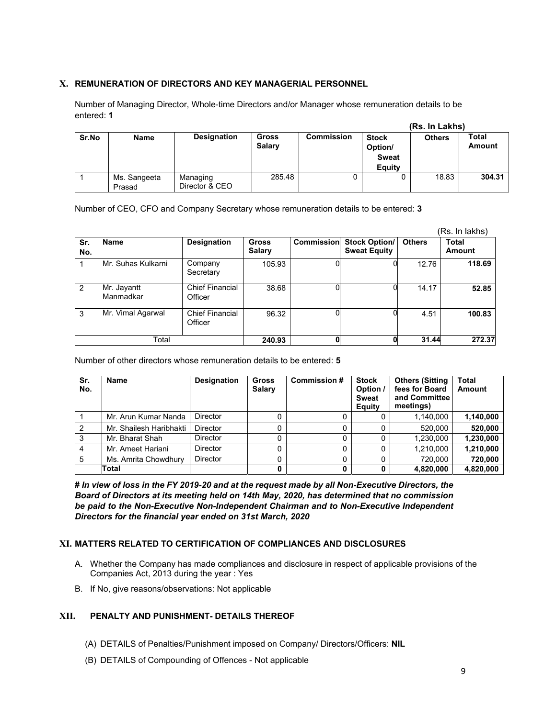### **X. REMUNERATION OF DIRECTORS AND KEY MANAGERIAL PERSONNEL**

Number of Managing Director, Whole-time Directors and/or Manager whose remuneration details to be entered: **1** 

|       |                        |                            |                        |                   | (Rs. In Lakhs)                                    |               |                 |  |
|-------|------------------------|----------------------------|------------------------|-------------------|---------------------------------------------------|---------------|-----------------|--|
| Sr.No | <b>Name</b>            | <b>Designation</b>         | Gross<br><b>Salary</b> | <b>Commission</b> | <b>Stock</b><br>Option/<br><b>Sweat</b><br>Eauity | <b>Others</b> | Total<br>Amount |  |
|       | Ms. Sangeeta<br>Prasad | Managing<br>Director & CEO | 285.48                 |                   |                                                   | 18.83         | 304.31          |  |

Number of CEO, CFO and Company Secretary whose remuneration details to be entered: **3** 

|               |                          |                                   |                               |                   |                                             |               | (Rs. In lakhs)  |
|---------------|--------------------------|-----------------------------------|-------------------------------|-------------------|---------------------------------------------|---------------|-----------------|
| Sr.<br>No.    | <b>Name</b>              | <b>Designation</b>                | <b>Gross</b><br><b>Salary</b> | <b>Commission</b> | <b>Stock Option/</b><br><b>Sweat Equity</b> | <b>Others</b> | Total<br>Amount |
|               | Mr. Suhas Kulkarni       | Company<br>Secretary              | 105.93                        |                   |                                             | 12.76         | 118.69          |
| $\mathcal{P}$ | Mr. Jayantt<br>Manmadkar | <b>Chief Financial</b><br>Officer | 38.68                         |                   |                                             | 14.17         | 52.85           |
| 3             | Mr. Vimal Agarwal        | <b>Chief Financial</b><br>Officer | 96.32                         |                   |                                             | 4.51          | 100.83          |
| Total         |                          |                                   | 240.93                        | 0                 |                                             | 31.44         | 272.37          |

Number of other directors whose remuneration details to be entered: **5** 

| Sr.<br>No.     | <b>Name</b>             | <b>Designation</b> | <b>Gross</b><br><b>Salary</b> | Commission # | <b>Stock</b><br>Option /<br><b>Sweat</b><br>Equity | <b>Others (Sitting</b><br>fees for Board<br>and Committee<br>meetings) | <b>Total</b><br>Amount |
|----------------|-------------------------|--------------------|-------------------------------|--------------|----------------------------------------------------|------------------------------------------------------------------------|------------------------|
|                | Mr. Arun Kumar Nanda    | Director           |                               |              |                                                    | 1,140,000                                                              | 1,140,000              |
| $\overline{2}$ | Mr. Shailesh Haribhakti | <b>Director</b>    |                               |              |                                                    | 520.000                                                                | 520,000                |
| 3              | Mr. Bharat Shah         | <b>Director</b>    |                               |              |                                                    | 1,230,000                                                              | 1,230,000              |
| $\overline{4}$ | Mr. Ameet Hariani       | <b>Director</b>    |                               |              |                                                    | 1,210,000                                                              | 1,210,000              |
| 5              | Ms. Amrita Chowdhury    | <b>Director</b>    |                               |              |                                                    | 720.000                                                                | 720,000                |
|                | Total                   |                    | 0                             |              |                                                    | 4,820,000                                                              | 4,820,000              |

**#** *In view of loss in the FY 2019-20 and at the request made by all Non-Executive Directors, the Board of Directors at its meeting held on 14th May, 2020, has determined that no commission be paid to the Non-Executive Non-Independent Chairman and to Non-Executive Independent Directors for the financial year ended on 31st March, 2020* 

#### **XI. MATTERS RELATED TO CERTIFICATION OF COMPLIANCES AND DISCLOSURES**

- A. Whether the Company has made compliances and disclosure in respect of applicable provisions of the Companies Act, 2013 during the year : Yes
- B. If No, give reasons/observations: Not applicable

#### **XII. PENALTY AND PUNISHMENT- DETAILS THEREOF**

- (A) DETAILS of Penalties/Punishment imposed on Company/ Directors/Officers: **NIL**
- (B) DETAILS of Compounding of Offences Not applicable